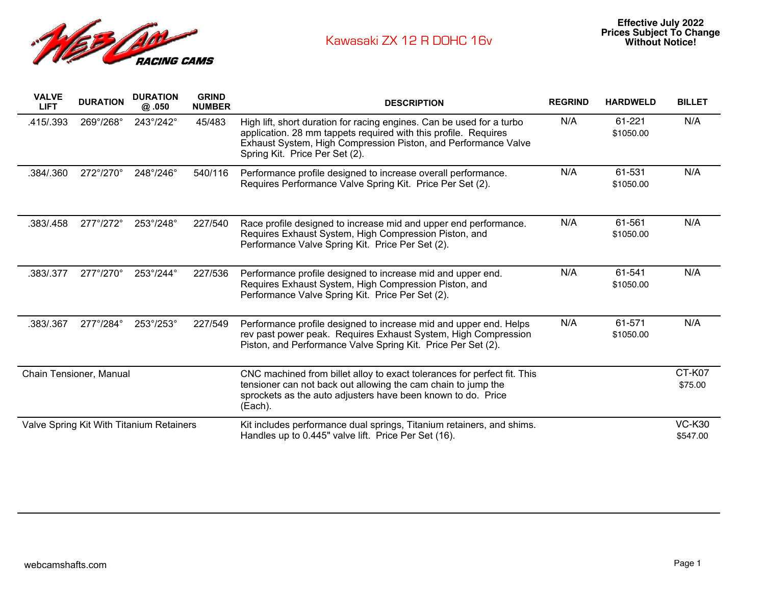

| <b>VALVE</b><br><b>LIFT</b>              | <b>DURATION</b>           | <b>DURATION</b><br>@.050  | <b>GRIND</b><br><b>NUMBER</b> | <b>DESCRIPTION</b>                                                                                                                                                                                                                           | <b>REGRIND</b> | <b>HARDWELD</b>     | <b>BILLET</b>             |
|------------------------------------------|---------------------------|---------------------------|-------------------------------|----------------------------------------------------------------------------------------------------------------------------------------------------------------------------------------------------------------------------------------------|----------------|---------------------|---------------------------|
| .415/.393                                | 269°/268°                 | 243°/242°                 | 45/483                        | High lift, short duration for racing engines. Can be used for a turbo<br>application. 28 mm tappets required with this profile. Requires<br>Exhaust System, High Compression Piston, and Performance Valve<br>Spring Kit. Price Per Set (2). | N/A            | 61-221<br>\$1050.00 | N/A                       |
| .384/.360                                | 272°/270°                 | 248°/246°                 | 540/116                       | Performance profile designed to increase overall performance.<br>Requires Performance Valve Spring Kit. Price Per Set (2).                                                                                                                   | N/A            | 61-531<br>\$1050.00 | N/A                       |
| .383/.458                                | 277°/272°                 | 253°/248°                 | 227/540                       | Race profile designed to increase mid and upper end performance.<br>Requires Exhaust System, High Compression Piston, and<br>Performance Valve Spring Kit. Price Per Set (2).                                                                | N/A            | 61-561<br>\$1050.00 | N/A                       |
| .383/.377                                | 277°/270°                 | 253°/244°                 | 227/536                       | Performance profile designed to increase mid and upper end.<br>Requires Exhaust System, High Compression Piston, and<br>Performance Valve Spring Kit. Price Per Set (2).                                                                     | N/A            | 61-541<br>\$1050.00 | N/A                       |
| .383/.367                                | $277^{\circ}/284^{\circ}$ | $253^{\circ}/253^{\circ}$ | 227/549                       | Performance profile designed to increase mid and upper end. Helps<br>rev past power peak. Requires Exhaust System, High Compression<br>Piston, and Performance Valve Spring Kit. Price Per Set (2).                                          | N/A            | 61-571<br>\$1050.00 | N/A                       |
| Chain Tensioner, Manual                  |                           |                           |                               | CNC machined from billet alloy to exact tolerances for perfect fit. This<br>tensioner can not back out allowing the cam chain to jump the<br>sprockets as the auto adjusters have been known to do. Price<br>(Each).                         |                |                     | CT-K07<br>\$75.00         |
| Valve Spring Kit With Titanium Retainers |                           |                           |                               | Kit includes performance dual springs, Titanium retainers, and shims.<br>Handles up to 0.445" valve lift. Price Per Set (16).                                                                                                                |                |                     | <b>VC-K30</b><br>\$547.00 |